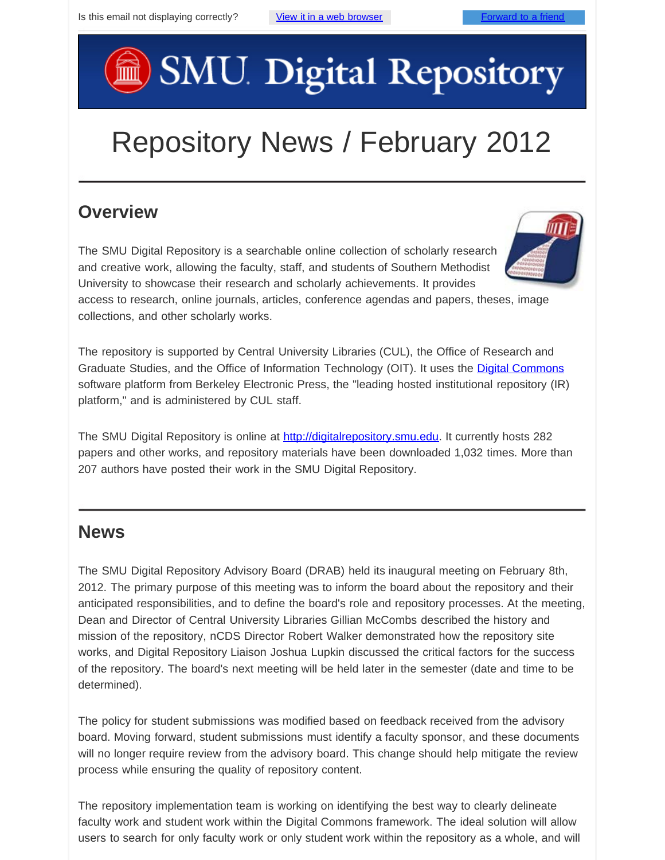# SMU Digital Repository

## Repository News / February 2012

### **Overview**

The SMU Digital Repository is a searchable online collection of scholarly research and creative work, allowing the faculty, staff, and students of Southern Methodist University to showcase their research and scholarly achievements. It provides

access to research, online journals, articles, conference agendas and papers, theses, image collections, and other scholarly works.

The repository is supported by Central University Libraries (CUL), the Office of Research and Graduate Studies, and the Office of Information Technology (OIT). It uses the [Digital Commons](http://digitalcommons.bepress.com/faq/) software platform from Berkeley Electronic Press, the "leading hosted institutional repository (IR) platform," and is administered by CUL staff.

The SMU Digital Repository is online at [http://digitalrepository.smu.edu](http://digitalrepository.smu.edu/). It currently hosts 282 papers and other works, and repository materials have been downloaded 1,032 times. More than 207 authors have posted their work in the SMU Digital Repository.

#### **News**

The SMU Digital Repository Advisory Board (DRAB) held its inaugural meeting on February 8th, 2012. The primary purpose of this meeting was to inform the board about the repository and their anticipated responsibilities, and to define the board's role and repository processes. At the meeting, Dean and Director of Central University Libraries Gillian McCombs described the history and mission of the repository, nCDS Director Robert Walker demonstrated how the repository site works, and Digital Repository Liaison Joshua Lupkin discussed the critical factors for the success of the repository. The board's next meeting will be held later in the semester (date and time to be determined).

The policy for student submissions was modified based on feedback received from the advisory board. Moving forward, student submissions must identify a faculty sponsor, and these documents will no longer require review from the advisory board. This change should help mitigate the review process while ensuring the quality of repository content.

The repository implementation team is working on identifying the best way to clearly delineate faculty work and student work within the Digital Commons framework. The ideal solution will allow users to search for only faculty work or only student work within the repository as a whole, and will

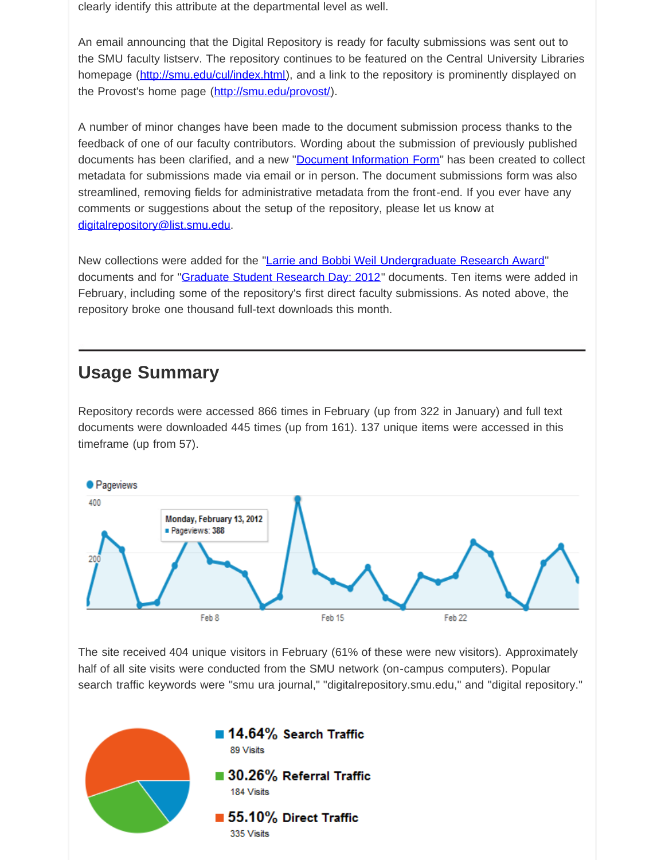clearly identify this attribute at the departmental level as well.

An email announcing that the Digital Repository is ready for faculty submissions was sent out to the SMU faculty listserv. The repository continues to be featured on the Central University Libraries homepage (<http://smu.edu/cul/index.html>), and a link to the repository is prominently displayed on the Provost's home page [\(http://smu.edu/provost/](http://smu.edu/provost/)).

A number of minor changes have been made to the document submission process thanks to the feedback of one of our faculty contributors. Wording about the submission of previously published documents has been clarified, and a new "[Document Information Form](http://digitalrepository.smu.edu/libraries_cul_admin/6/)" has been created to collect metadata for submissions made via email or in person. The document submissions form was also streamlined, removing fields for administrative metadata from the front-end. If you ever have any comments or suggestions about the setup of the repository, please let us know at [digitalrepository@list.smu.edu](mailto:digitalrepository@list.smu.edu).

New collections were added for the ["Larrie and Bobbi Weil Undergraduate Research Award"](http://digitalrepository.smu.edu/weil_ura/) documents and for ["Graduate Student Research Day: 2012](http://digitalrepository.smu.edu/research_day_2012/)" documents. Ten items were added in February, including some of the repository's first direct faculty submissions. As noted above, the repository broke one thousand full-text downloads this month.

#### **Usage Summary**

Repository records were accessed 866 times in February (up from 322 in January) and full text documents were downloaded 445 times (up from 161). 137 unique items were accessed in this timeframe (up from 57).



The site received 404 unique visitors in February (61% of these were new visitors). Approximately half of all site visits were conducted from the SMU network (on-campus computers). Popular search traffic keywords were "smu ura journal," "digitalrepository.smu.edu," and "digital repository."

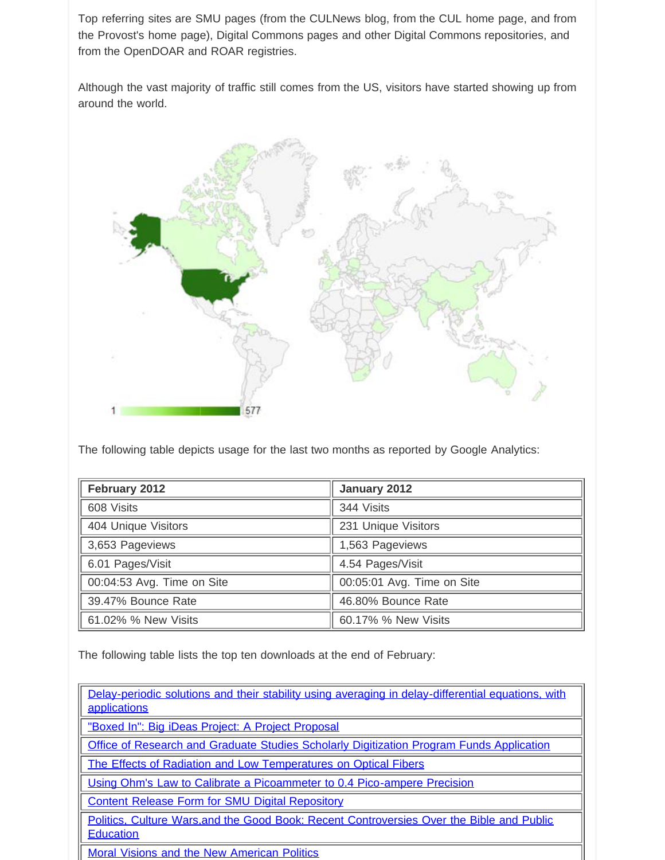Top referring sites are SMU pages (from the CULNews blog, from the CUL home page, and from the Provost's home page), Digital Commons pages and other Digital Commons repositories, and from the OpenDOAR and ROAR registries.

Although the vast majority of traffic still comes from the US, visitors have started showing up from around the world.



The following table depicts usage for the last two months as reported by Google Analytics:

| February 2012              | January 2012               |
|----------------------------|----------------------------|
| 608 Visits                 | 344 Visits                 |
| 404 Unique Visitors        | 231 Unique Visitors        |
| 3,653 Pageviews            | 1,563 Pageviews            |
| 6.01 Pages/Visit           | 4.54 Pages/Visit           |
| 00:04:53 Avg. Time on Site | 00:05:01 Avg. Time on Site |
| 39.47% Bounce Rate         | 46.80% Bounce Rate         |
| 61.02% % New Visits        | 60.17% % New Visits        |

The following table lists the top ten downloads at the end of February:

| Delay-periodic solutions and their stability using averaging in delay-differential equations, with<br>applications |
|--------------------------------------------------------------------------------------------------------------------|
| "Boxed In": Big iDeas Project: A Project Proposal                                                                  |
| Office of Research and Graduate Studies Scholarly Digitization Program Funds Application                           |
| The Effects of Radiation and Low Temperatures on Optical Fibers                                                    |
| Using Ohm's Law to Calibrate a Picoammeter to 0.4 Pico-ampere Precision                                            |
| <b>Content Release Form for SMU Digital Repository</b>                                                             |
| Politics, Culture Wars, and the Good Book: Recent Controversies Over the Bible and Public<br><b>Education</b>      |

[Moral Visions and the New American Politics](http://digitalrepository.smu.edu/centers_maguireethics_occasional/1)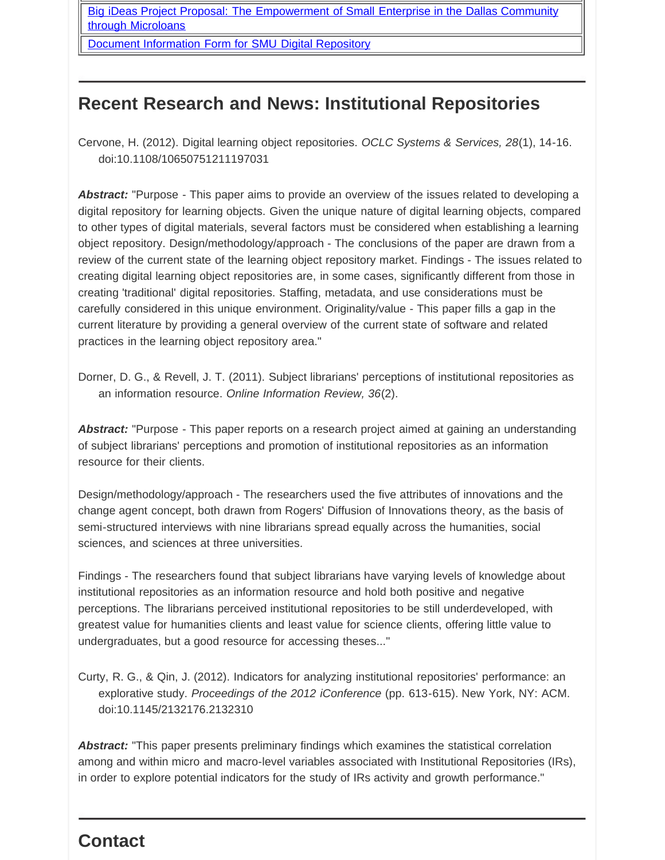[Big iDeas Project Proposal: The Empowerment of Small Enterprise in the Dallas Community](http://digitalrepository.smu.edu/big_ideas_2011_proposals/3) [through Microloans](http://digitalrepository.smu.edu/big_ideas_2011_proposals/3)

[Document Information Form for SMU Digital Repository](http://digitalrepository.smu.edu/libraries_cul_admin/6)

#### **Recent Research and News: Institutional Repositories**

Cervone, H. (2012). Digital learning object repositories. *OCLC Systems & Services, 28*(1), 14-16. doi:10.1108/10650751211197031

Abstract: "Purpose - This paper aims to provide an overview of the issues related to developing a digital repository for learning objects. Given the unique nature of digital learning objects, compared to other types of digital materials, several factors must be considered when establishing a learning object repository. Design/methodology/approach - The conclusions of the paper are drawn from a review of the current state of the learning object repository market. Findings - The issues related to creating digital learning object repositories are, in some cases, significantly different from those in creating 'traditional' digital repositories. Staffing, metadata, and use considerations must be carefully considered in this unique environment. Originality/value - This paper fills a gap in the current literature by providing a general overview of the current state of software and related practices in the learning object repository area."

Dorner, D. G., & Revell, J. T. (2011). Subject librarians' perceptions of institutional repositories as an information resource. *Online Information Review, 36*(2).

*Abstract:* "Purpose - This paper reports on a research project aimed at gaining an understanding of subject librarians' perceptions and promotion of institutional repositories as an information resource for their clients.

Design/methodology/approach - The researchers used the five attributes of innovations and the change agent concept, both drawn from Rogers' Diffusion of Innovations theory, as the basis of semi-structured interviews with nine librarians spread equally across the humanities, social sciences, and sciences at three universities.

Findings - The researchers found that subject librarians have varying levels of knowledge about institutional repositories as an information resource and hold both positive and negative perceptions. The librarians perceived institutional repositories to be still underdeveloped, with greatest value for humanities clients and least value for science clients, offering little value to undergraduates, but a good resource for accessing theses..."

Curty, R. G., & Qin, J. (2012). Indicators for analyzing institutional repositories' performance: an explorative study. *Proceedings of the 2012 iConference* (pp. 613-615). New York, NY: ACM. doi:10.1145/2132176.2132310

*Abstract:* "This paper presents preliminary findings which examines the statistical correlation among and within micro and macro-level variables associated with Institutional Repositories (IRs), in order to explore potential indicators for the study of IRs activity and growth performance."

#### **Contact**